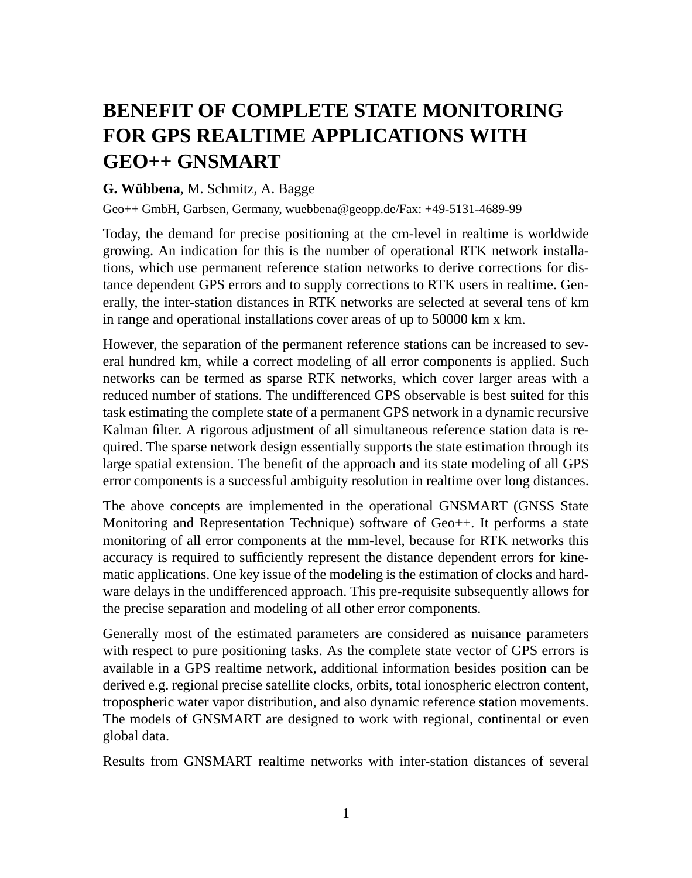## **BENEFIT OF COMPLETE STATE MONITORING FOR GPS REALTIME APPLICATIONS WITH GEO++ GNSMART**

## **G. Wübbena**, M. Schmitz, A. Bagge

Geo++ GmbH, Garbsen, Germany, wuebbena@geopp.de/Fax: +49-5131-4689-99

Today, the demand for precise positioning at the cm-level in realtime is worldwide growing. An indication for this is the number of operational RTK network installations, which use permanent reference station networks to derive corrections for distance dependent GPS errors and to supply corrections to RTK users in realtime. Generally, the inter-station distances in RTK networks are selected at several tens of km in range and operational installations cover areas of up to 50000 km x km.

However, the separation of the permanent reference stations can be increased to several hundred km, while a correct modeling of all error components is applied. Such networks can be termed as sparse RTK networks, which cover larger areas with a reduced number of stations. The undifferenced GPS observable is best suited for this task estimating the complete state of a permanent GPS network in a dynamic recursive Kalman filter. A rigorous adjustment of all simultaneous reference station data is required. The sparse network design essentially supports the state estimation through its large spatial extension. The benefit of the approach and its state modeling of all GPS error components is a successful ambiguity resolution in realtime over long distances.

The above concepts are implemented in the operational GNSMART (GNSS State Monitoring and Representation Technique) software of Geo++. It performs a state monitoring of all error components at the mm-level, because for RTK networks this accuracy is required to sufficiently represent the distance dependent errors for kinematic applications. One key issue of the modeling is the estimation of clocks and hardware delays in the undifferenced approach. This pre-requisite subsequently allows for the precise separation and modeling of all other error components.

Generally most of the estimated parameters are considered as nuisance parameters with respect to pure positioning tasks. As the complete state vector of GPS errors is available in a GPS realtime network, additional information besides position can be derived e.g. regional precise satellite clocks, orbits, total ionospheric electron content, tropospheric water vapor distribution, and also dynamic reference station movements. The models of GNSMART are designed to work with regional, continental or even global data.

Results from GNSMART realtime networks with inter-station distances of several